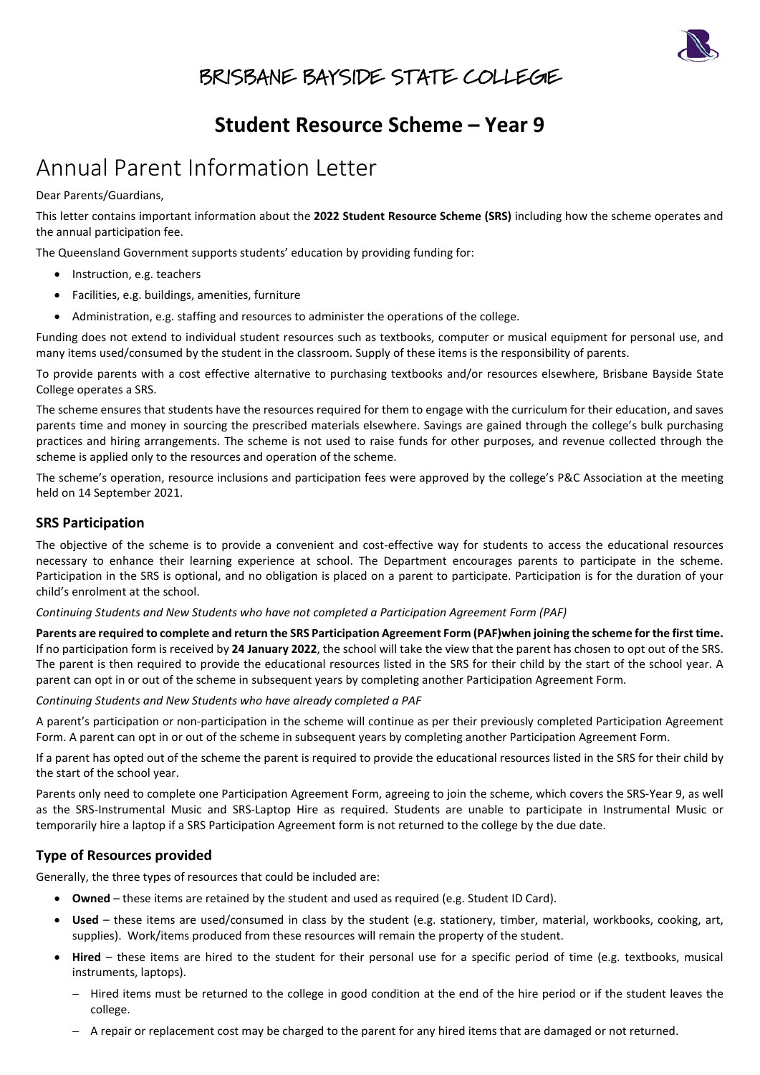

## BRISBANE BAYSIDE STATE COLLEGE

## **Student Resource Scheme – Year 9**

# Annual Parent Information Letter

Dear Parents/Guardians,

This letter contains important information about the **2022 Student Resource Scheme (SRS)** including how the scheme operates and the annual participation fee.

The Queensland Government supports students' education by providing funding for:

- Instruction, e.g. teachers
- Facilities, e.g. buildings, amenities, furniture
- Administration, e.g. staffing and resources to administer the operations of the college.

Funding does not extend to individual student resources such as textbooks, computer or musical equipment for personal use, and many items used/consumed by the student in the classroom. Supply of these items is the responsibility of parents.

To provide parents with a cost effective alternative to purchasing textbooks and/or resources elsewhere, Brisbane Bayside State College operates a SRS.

The scheme ensures that students have the resources required for them to engage with the curriculum for their education, and saves parents time and money in sourcing the prescribed materials elsewhere. Savings are gained through the college's bulk purchasing practices and hiring arrangements. The scheme is not used to raise funds for other purposes, and revenue collected through the scheme is applied only to the resources and operation of the scheme.

The scheme's operation, resource inclusions and participation fees were approved by the college's P&C Association at the meeting held on 14 September 2021.

#### **SRS Participation**

The objective of the scheme is to provide a convenient and cost-effective way for students to access the educational resources necessary to enhance their learning experience at school. The Department encourages parents to participate in the scheme. Participation in the SRS is optional, and no obligation is placed on a parent to participate. Participation is for the duration of your child's enrolment at the school.

*Continuing Students and New Students who have not completed a Participation Agreement Form (PAF)*

**Parents are required to complete and return the SRS Participation Agreement Form (PAF)when joining the scheme for the first time.** If no participation form is received by **24 January 2022**, the school will take the view that the parent has chosen to opt out of the SRS. The parent is then required to provide the educational resources listed in the SRS for their child by the start of the school year. A parent can opt in or out of the scheme in subsequent years by completing another Participation Agreement Form.

*Continuing Students and New Students who have already completed a PAF*

A parent's participation or non-participation in the scheme will continue as per their previously completed Participation Agreement Form. A parent can opt in or out of the scheme in subsequent years by completing another Participation Agreement Form.

If a parent has opted out of the scheme the parent is required to provide the educational resources listed in the SRS for their child by the start of the school year.

Parents only need to complete one Participation Agreement Form, agreeing to join the scheme, which covers the SRS-Year 9, as well as the SRS-Instrumental Music and SRS-Laptop Hire as required. Students are unable to participate in Instrumental Music or temporarily hire a laptop if a SRS Participation Agreement form is not returned to the college by the due date.

### **Type of Resources provided**

Generally, the three types of resources that could be included are:

- **Owned** these items are retained by the student and used as required (e.g. Student ID Card).
- **Used**  these items are used/consumed in class by the student (e.g. stationery, timber, material, workbooks, cooking, art, supplies). Work/items produced from these resources will remain the property of the student.
- **Hired**  these items are hired to the student for their personal use for a specific period of time (e.g. textbooks, musical instruments, laptops).
	- − Hired items must be returned to the college in good condition at the end of the hire period or if the student leaves the college.
	- − A repair or replacement cost may be charged to the parent for any hired items that are damaged or not returned.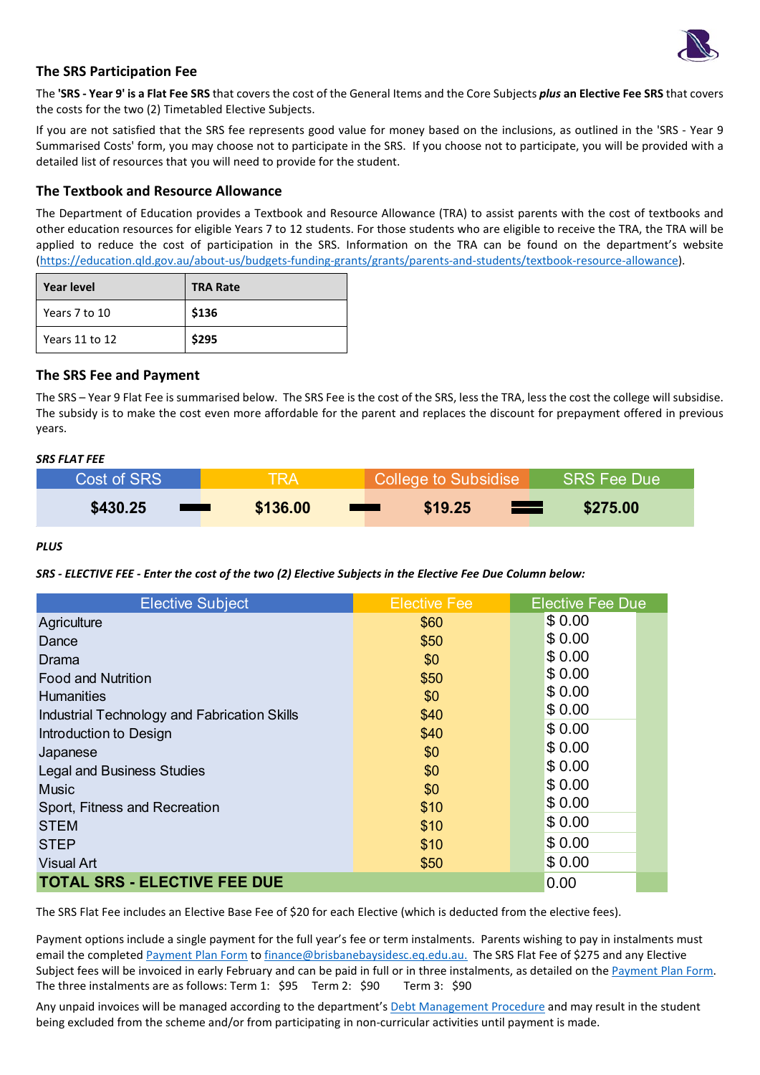

#### **The SRS Participation Fee**

The **'SRS - Year 9' is a Flat Fee SRS** that covers the cost of the General Items and the Core Subjects *plus* **an Elective Fee SRS** that covers the costs for the two (2) Timetabled Elective Subjects.

If you are not satisfied that the SRS fee represents good value for money based on the inclusions, as outlined in the 'SRS - Year 9 Summarised Costs' form, you may choose not to participate in the SRS. If you choose not to participate, you will be provided with a detailed list of resources that you will need to provide for the student.

#### **The Textbook and Resource Allowance**

The Department of Education provides a Textbook and Resource Allowance (TRA) to assist parents with the cost of textbooks and other education resources for eligible Years 7 to 12 students. For those students who are eligible to receive the TRA, the TRA will be applied to reduce the cost of participation in the SRS. Information on the TRA can be found on the department's website [\(https://education.qld.gov.au/about-us/budgets-funding-grants/grants/parents-and-students/textbook-resource-allowance\)](https://education.qld.gov.au/about-us/budgets-funding-grants/grants/parents-and-students/textbook-resource-allowance).

| Year level     | <b>TRA Rate</b> |
|----------------|-----------------|
| Years 7 to 10  | \$136           |
| Years 11 to 12 | \$295           |

#### **The SRS Fee and Payment**

The SRS – Year 9 Flat Fee is summarised below. The SRS Fee is the cost of the SRS, less the TRA, less the cost the college will subsidise. The subsidy is to make the cost even more affordable for the parent and replaces the discount for prepayment offered in previous years.

#### *SRS FLAT FEE*

| Cost of SRS       | <b>TRA</b> | College to Subsidise              | <b>SRS Fee Due</b> |
|-------------------|------------|-----------------------------------|--------------------|
| \$430.25          | \$136.00   | \$19.25                           | \$275.00           |
| <b>STATISTICS</b> |            | <b>Contract Contract Contract</b> | <u>rans</u>        |

#### *PLUS*

*SRS - ELECTIVE FEE - Enter the cost of the two (2) Elective Subjects in the Elective Fee Due Column below:*

| <b>Elective Subject</b>                      | <b>Elective Fee</b> | <b>Elective Fee Due</b> |
|----------------------------------------------|---------------------|-------------------------|
| Agriculture                                  | \$60                | \$0.00                  |
| Dance                                        | \$50                | \$0.00                  |
| Drama                                        | \$0                 | \$0.00                  |
| <b>Food and Nutrition</b>                    | \$50                | \$0.00                  |
| <b>Humanities</b>                            | \$0                 | \$0.00                  |
| Industrial Technology and Fabrication Skills | \$40                | \$0.00                  |
| Introduction to Design                       | \$40                | \$0.00                  |
| Japanese                                     | \$0                 | \$0.00                  |
| <b>Legal and Business Studies</b>            | \$0                 | \$0.00                  |
| <b>Music</b>                                 | \$0                 | \$0.00                  |
| Sport, Fitness and Recreation                | \$10                | \$0.00                  |
| <b>STEM</b>                                  | \$10                | \$0.00                  |
| <b>STEP</b>                                  | \$10                | \$0.00                  |
| <b>Visual Art</b>                            | \$50                | \$0.00                  |
| <b>TOTAL SRS - ELECTIVE FEE DUE</b>          |                     | 0.00                    |

The SRS Flat Fee includes an Elective Base Fee of \$20 for each Elective (which is deducted from the elective fees).

Payment options include a single payment for the full year's fee or term instalments. Parents wishing to pay in instalments must email the complete[d Payment Plan Form](https://brisbanebaysidesc.eq.edu.au/supportandresources/formsanddocuments/documents/payments/payment-plan.pdf) to [finance@brisbanebaysidesc.eq.edu.au.](mailto:finance@brisbanebaysidesc.eq.edu.au) The SRS Flat Fee of \$275 and any Elective Subject fees will be invoiced in early February and can be paid in full or in three instalments, as detailed on th[e Payment Plan Form.](https://brisbanebaysidesc.eq.edu.au/supportandresources/formsanddocuments/documents/payments/payment-plan.pdf) The three instalments are as follows: Term 1: \$95 Term 2: \$90 Term 3: \$90

Any unpaid invoices will be managed according to the department's [Debt Management Procedure](https://ppr.qed.qld.gov.au/pp/debt-management-procedure) and may result in the student being excluded from the scheme and/or from participating in non-curricular activities until payment is made.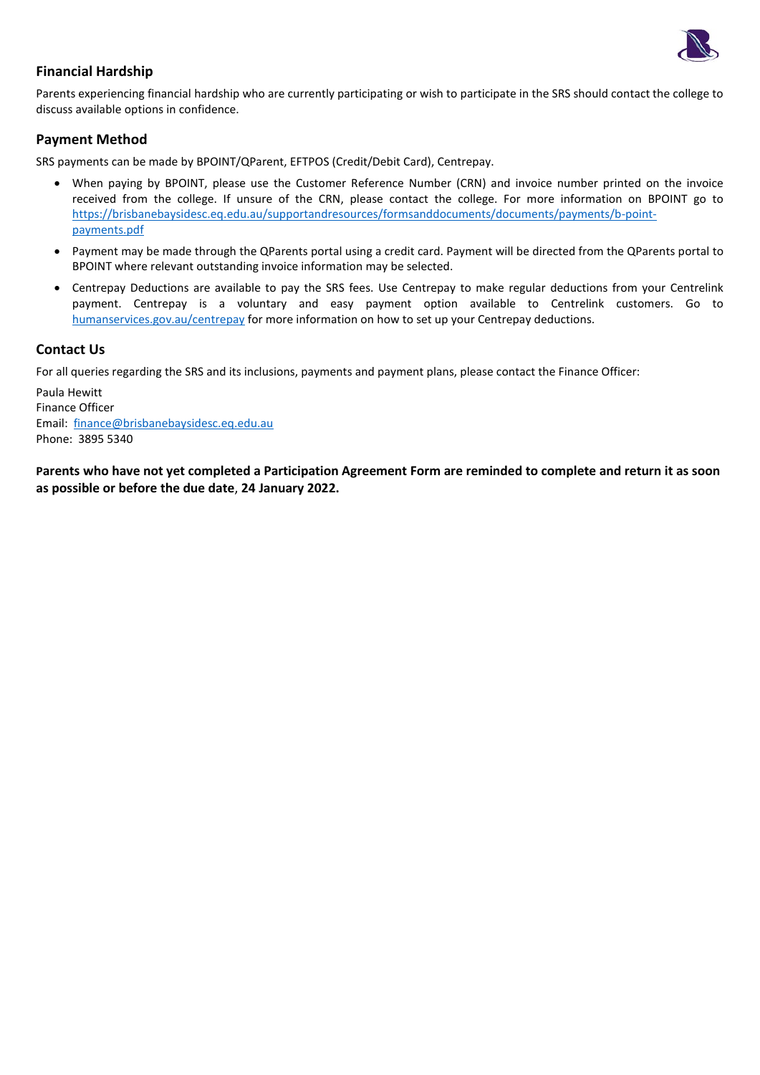

### **Financial Hardship**

Parents experiencing financial hardship who are currently participating or wish to participate in the SRS should contact the college to discuss available options in confidence.

#### **Payment Method**

SRS payments can be made by BPOINT/QParent, EFTPOS (Credit/Debit Card), Centrepay.

- When paying by BPOINT, please use the Customer Reference Number (CRN) and invoice number printed on the invoice received from the college. If unsure of the CRN, please contact the college. For more information on BPOINT go to [https://brisbanebaysidesc.eq.edu.au/supportandresources/formsanddocuments/documents/payments/b-point](https://brisbanebaysidesc.eq.edu.au/supportandresources/formsanddocuments/documents/payments/b-point-payments.pdf)[payments.pdf](https://brisbanebaysidesc.eq.edu.au/supportandresources/formsanddocuments/documents/payments/b-point-payments.pdf)
- Payment may be made through the QParents portal using a credit card. Payment will be directed from the QParents portal to BPOINT where relevant outstanding invoice information may be selected.
- Centrepay Deductions are available to pay the SRS fees. Use Centrepay to make regular deductions from your Centrelink payment. Centrepay is a voluntary and easy payment option available to Centrelink customers. Go to [humanservices.gov.au/centrepay](https://www.humanservices.gov.au/individuals/services/centrelink/centrepay) for more information on how to set up your Centrepay deductions.

### **Contact Us**

For all queries regarding the SRS and its inclusions, payments and payment plans, please contact the Finance Officer:

Paula Hewitt Finance Officer Email: [finance@brisbanebaysidesc.eq.edu.au](mailto:finance@brisbanebaysidesc.eq.edu.au?subject=SRS%20-%20Payment/Payment%20Plan%20Query) Phone: 3895 5340

**Parents who have not yet completed a Participation Agreement Form are reminded to complete and return it as soon as possible or before the due date**, **24 January 2022.**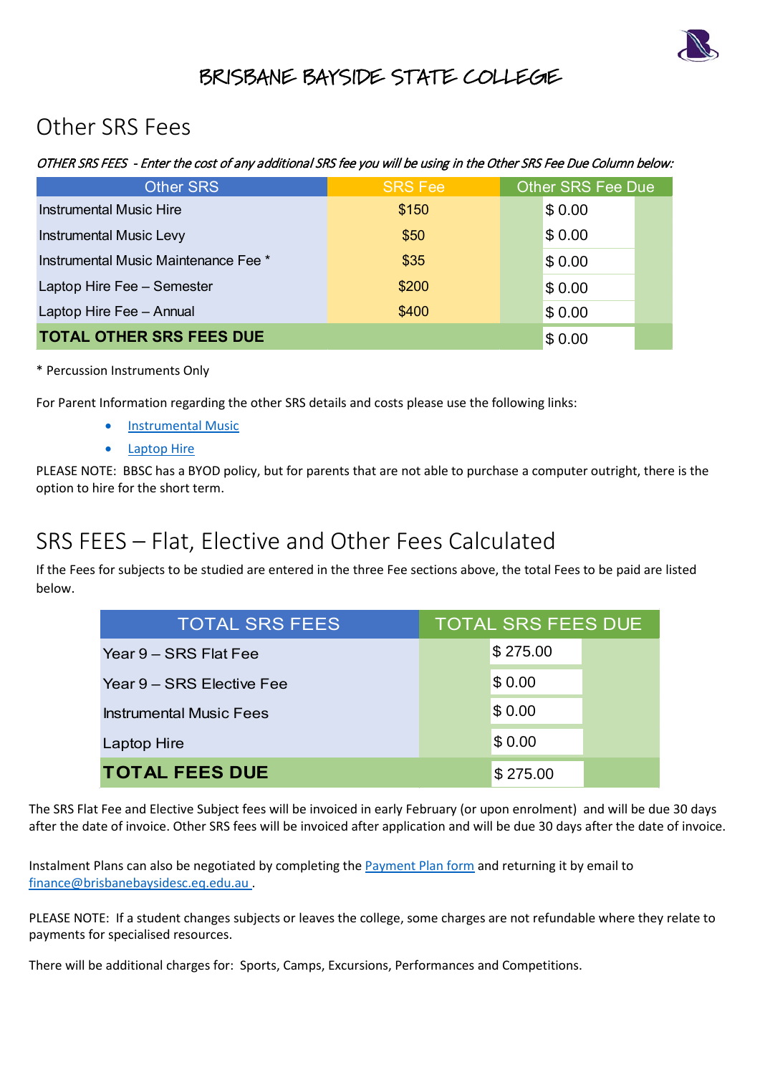

## BRISBANE BAYSIDE STATE COLLEGE

## Other SRS Fees

## OTHER SRS FEES - Enter the cost of any additional SRS fee you will be using in the Other SRS Fee Due Column below:

| <b>Other SRS</b>                     | <b>SRS Fee</b> | <b>Other SRS Fee Due</b> |
|--------------------------------------|----------------|--------------------------|
| <b>Instrumental Music Hire</b>       | \$150          | \$0.00                   |
| <b>Instrumental Music Levy</b>       | \$50           | \$0.00                   |
| Instrumental Music Maintenance Fee * | \$35           | \$0.00                   |
| Laptop Hire Fee - Semester           | \$200          | \$0.00                   |
| Laptop Hire Fee - Annual             | \$400          | \$0.00                   |
| <b>TOTAL OTHER SRS FEES DUE</b>      |                | \$0.00                   |

\* Percussion Instruments Only

For Parent Information regarding the other SRS details and costs please use the following links:

- [Instrumental Music](https://brisbanebaysidesc.eq.edu.au/SupportAndResources/FormsAndDocuments/Documents/Student-resource-scheme/instrumental-music-scheme-parent-information-letter.pdf)
- [Laptop Hire](https://brisbanebaysidesc.eq.edu.au/SupportAndResources/FormsAndDocuments/Documents/Student-resource-scheme/laptop-hire-scheme-parent-information-letter.pdf)

PLEASE NOTE: BBSC has a BYOD policy, but for parents that are not able to purchase a computer outright, there is the option to hire for the short term.

# SRS FEES – Flat, Elective and Other Fees Calculated

If the Fees for subjects to be studied are entered in the three Fee sections above, the total Fees to be paid are listed below.

| OTHER SRS FEES DUE                                                                                                                                      | \$0.00                    |  |
|---------------------------------------------------------------------------------------------------------------------------------------------------------|---------------------------|--|
| on Instruments Only                                                                                                                                     |                           |  |
| Information regarding the other SRS details and costs please use the following links:                                                                   |                           |  |
| <b>Instrumental Music</b>                                                                                                                               |                           |  |
| <b>Laptop Hire</b>                                                                                                                                      |                           |  |
| TE: BBSC has a BYOD policy, but for parents that are not able to purchase a computer outright, the<br>ire for the short term.                           |                           |  |
| EES – Flat, Elective and Other Fees Calculated<br>for subjects to be studied are entered in the three Fee sections above, the total Fees to be paid are |                           |  |
| <b>TOTAL SRS FEES</b>                                                                                                                                   | <b>TOTAL SRS FEES DUE</b> |  |
| Year 9 – SRS Flat Fee                                                                                                                                   | \$275.00                  |  |
| Year 9 - SRS Elective Fee                                                                                                                               | \$0.00                    |  |
| <b>Instrumental Music Fees</b>                                                                                                                          | \$0.00                    |  |
| Laptop Hire                                                                                                                                             | \$0.00                    |  |
| <b>TOTAL FEES DUE</b>                                                                                                                                   | \$275.00                  |  |

The SRS Flat Fee and Elective Subject fees will be invoiced in early February (or upon enrolment) and will be due 30 days after the date of invoice. Other SRS fees will be invoiced after application and will be due 30 days after the date of invoice.

Instalment Plans can also be negotiated by completing the [Payment Plan form](https://brisbanebaysidesc.eq.edu.au/supportandresources/formsanddocuments/documents/payments/payment-plan.pdf) and returning it by email to [finance@brisbanebaysidesc.eq.edu.au](mailto:finance@brisbanebaysidesc.eq.edu.au?subject=SRS%20-%20Payment/Payment%20Plan%20Query) .

PLEASE NOTE: If a student changes subjects or leaves the college, some charges are not refundable where they relate to payments for specialised resources.

There will be additional charges for: Sports, Camps, Excursions, Performances and Competitions.